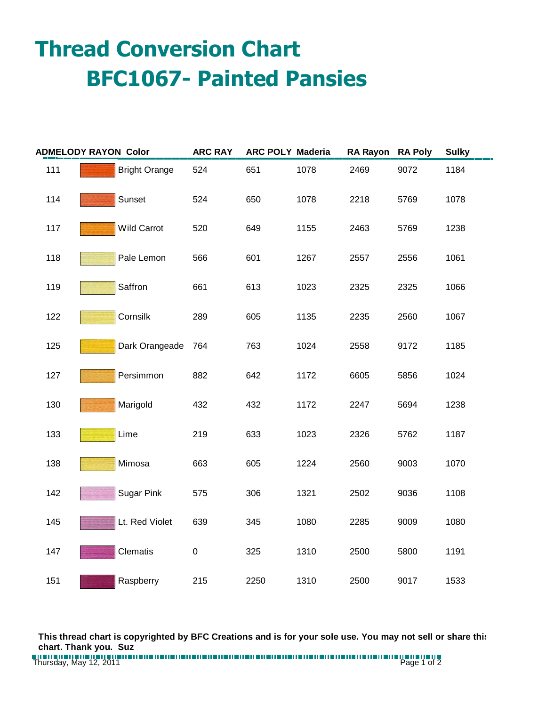## **Thread Conversion Chart BFC1067- Painted Pansies**

| <b>ADMELODY RAYON Color</b> |                      | <b>ARC RAY</b> | <b>ARC POLY Maderia</b> |      | <b>RA Rayon</b> | <b>RA Poly</b> | <b>Sulky</b> |
|-----------------------------|----------------------|----------------|-------------------------|------|-----------------|----------------|--------------|
| 111                         | <b>Bright Orange</b> | 524            | 651                     | 1078 | 2469            | 9072           | 1184         |
| 114                         | Sunset               | 524            | 650                     | 1078 | 2218            | 5769           | 1078         |
| 117                         | Wild Carrot          | 520            | 649                     | 1155 | 2463            | 5769           | 1238         |
| 118                         | Pale Lemon           | 566            | 601                     | 1267 | 2557            | 2556           | 1061         |
| 119                         | Saffron              | 661            | 613                     | 1023 | 2325            | 2325           | 1066         |
| 122                         | Cornsilk             | 289            | 605                     | 1135 | 2235            | 2560           | 1067         |
| 125                         | Dark Orangeade       | 764            | 763                     | 1024 | 2558            | 9172           | 1185         |
| 127                         | Persimmon            | 882            | 642                     | 1172 | 6605            | 5856           | 1024         |
| 130                         | Marigold             | 432            | 432                     | 1172 | 2247            | 5694           | 1238         |
| 133                         | Lime                 | 219            | 633                     | 1023 | 2326            | 5762           | 1187         |
| 138                         | Mimosa               | 663            | 605                     | 1224 | 2560            | 9003           | 1070         |
| 142                         | <b>Sugar Pink</b>    | 575            | 306                     | 1321 | 2502            | 9036           | 1108         |
| 145                         | Lt. Red Violet       | 639            | 345                     | 1080 | 2285            | 9009           | 1080         |
| 147                         | Clematis             | $\pmb{0}$      | 325                     | 1310 | 2500            | 5800           | 1191         |
| 151                         | Raspberry            | 215            | 2250                    | 1310 | 2500            | 9017           | 1533         |

**This thread chart is copyrighted by BFC Creations and is for your sole use. You may not sell or share this chart. Thank you. Suz**